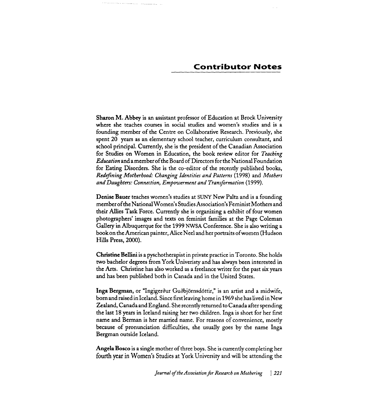Sharon M. **Abbey** is an assistant professor of Education at Brock University where she teaches courses in social studies and women's studies and is a founding member of the Centre on Collaborative Research. Previously, she spent 20 years as an elementary school teacher, curriculum consultant, and school principal. Currently, she is the president of the Canadian Association for Studies on Women in Education, the book review editor for *Teaching Education* and a member of the Board of Directors for the National Foundation for Eating Disorders. She is the co-editor of the recently published books, *Redefining Motherhood: Changing Identities and Patterns* (1998) and *Mothers and Daughters: Connection, Empowerment and Transformation* (1999).

Denise Bauer teaches women's studies at SUNY New Paltz and is a founding member of the National Women's Studies Association's Feminist Mothers and their Allies Task Force. Currently she is organizing a exhibit of four women photographers' images and texts on feminist families at the Page Coleman Gallery in Albuquerque for the 1999 **WSA** Conference. She is also writing a bookon the American painter, Alice Neel and her portraits ofwomen (Hudson Hills Press, 2000).

Christine Bellini is a pyschotherapist in private practice in Toronto. She holds two bachelor degrees from York Univeristy and has always been interested in the Arts. Christine has also worked as a freelance writer for the past six years and has been published both in Canada and in the United States.

Inga Bergman, or "Ingigerður Guðbjörnsdóttir," is an artist and a midwife, born and raised inIceland. Since first leaving home in 1969 she has lived in New Zealand, Canada and England. She recently returned to Canada after spending the last 18 years in Iceland raising her two children. Inga is short for her first name and Berman is her married name. For reasons of convenience, mostly because of pronunciation difficulties, she usually goes by the name Inga Bergman outside Iceland.

Angela Bosco is a single mother of three boys. She is currently completing her fourth year in Women's Studies at York University and will be attending the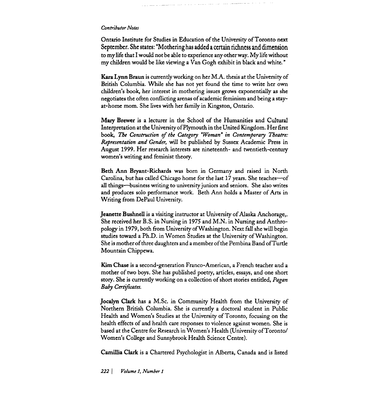Ontario Institute for Studies in Education of the University of Toronto next September. She states: "Mothering has added a certain richness and dimension to my life that I would not be able to experience any other way. My life without my children would be like viewing a Van Gogh exhibit in black and white."

**Kara** Lynn Braun is currently working on her M.A. thesis at the University of British Columbia. While she has not yet found the time to write her own children's book, her interest in mothering issues grows exponentially as she negotiates the often conflicting arenas of academic feminism and being a stayat-home mom. She lives with her family in Kingston, Ontario.

Mary Brewer is a lecturer in the School of the Humanities and Cultural Interpretation at the University of Plymouth in the United Kingdom. Her first book, *The Construction of the Category 'Woman" in Contemporary Theatre: Representation and Gender,* will be published by Sussex Academic Press in August 1999. Her research interests are nineteenth- and twentieth-century women's writing and feminist theory.

Beth Ann Bryant-Richards was born in Germany and raised in North Carolina, but has called Chicago home for the last 17 years. She teaches-of **all** things-business writing to university juniors and seniors. She also writes and produces solo performance work. Beth Ann holds a Master of Arts in Writing from DePaul University.

Jeanette BushnelI is a visiting instructor at University of Alaska Anchorage,. She received her B.S. in Nursing in 1975 and M.N. in Nursing and Anthropology in 1979, both from University of Washington. Next fall she will begin studies toward a Ph.D. in Women Studies at the University of Washington. She is mother of three daughters and a member of the Pembina Band of Turtle Mountain Chippewa.

**Kim** Chase is a second-generation Franco-American, a French teacher and a mother of two boys. She has published poetry, articles, essays, and one short story. She is currently working on a collection of short stories entitled, *Pagan*  Baby *Certificates*.

Jocalyn Clark has a M.Sc. in Community Health from the University of Northern British Columbia. She is currently a doctoral student in Public Heath and Women's Studies at the University of Toronto, focusing on the health effects of and health care responses to violence against women. She is based at the Centre for Research in Women's Health (University ofToronto/ Women's College and Sunnybrook Health Science Centre).

Carnillia Clark is a Chartered Psychologist in Alberta, Canada and is listed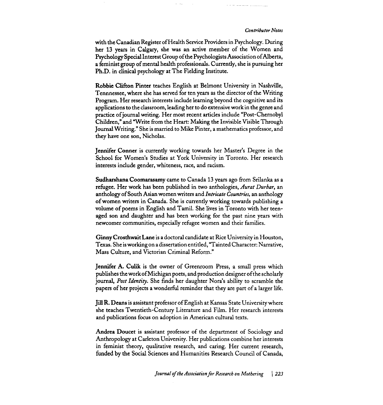<u> 1954 - Alexandria Indonesia</u>

with the Canadian Register of Health Service Providers in Psychology. During her 13 years in Calgary, she was an active member of the Women and Psychology Special Interest Group of the Psychologists Association of Alberta, a feminist group of mental health professionals. Currently, she is pursuing her Ph.D. in clinical psychology at The Fielding Institute.

 $\omega_{\rm{max}}$ 

Robbie Clifton Pinter teaches English at Belmont University in Nashville, Tennnessee, where she has served for ten years as the director of the Writing Program. Her research interests include learning beyond the cognitive and its applications to the classroom, leading her to do extensive work in the genre and practice of journal writing. Her most recent articles include "Post-Chernobyl Children," and "Write from the Heart: Making the Invisible Visible Through Journal Writing." She is married to Mike Pinter, a mathematics professor, and they have one son, Nicholas.

Jennifer Conner is currently working towards her Master's Degree in the School for Women's Studies at York University in Toronto. Her research interests include gender, whiteness, race, and racism.

Sudharshana Coomarasamy came to Canada 13 years ago from Srilanka as a refugee. Her work has been published in two anthologies, *Aurat Durbar,* an anthology of South Asian women writers and *Intricate Countries,* an anthology of women writers in Canada. She is currently working towards publishing a volume of poems in English and Tamil. She lives in Toronto with her teenaged son and daughter and has been working for the past nine years with newcomer communities, especially refugee women and their families.

Ginny Crosthwait Lane is a doctoral candidate at Rice University in Houston, Texas. She is working on adissertation entitled, "Tainted Character: Narrative, Mass Culture, and Victorian Criminal Reform."

Jennifer A. Culik is the owner of Greenroom Press, a small press which publishes the workofMichigan poets, and production designer ofthe scholarly journal, *Post Identity.* She finds her daughter Nora's ability to scramble the papers of her projects a wonderful reminder that they are part of a larger life.

**Jill R. Deans is assistant professor of English at Kansas State University where** she teaches Twentieth-Century Literature and Film. Her research interests and publications focus on adoption in American cultural texts.

Andrea Doucet is assistant professor of the department of Sociology and Anthropology at Carleton University. Her publications combine her interests in feminist theory, qualitative research, and caring. Her current research, funded by the Social Sciences and Humanities Research Council of Canada,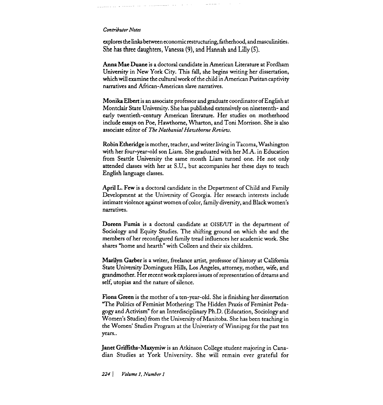explores the links between economic restructuring, fatherhood, and masculinities. She has three daughters, Vanessa **(9),** and Hannah and Lilly **(5).** 

Anna Mae Duane is a doctoral candidate in American Literature at Fordham University in New York City. This fall, she begins writing her dissertation, which will examine the cultural work of the child in American Puritan captivity narratives and African-American slave narratives.

Monika Elbert is an associate professor and graduate coordinator ofEnglish at Montclair State University. She has published extensively on nineteenth- and early twentieth-century American literature. Her studies on motherhood include essays on Poe, Hawthorne, Wharton, and Toni Morrison. She is also associate editor of *The Nathanial Hawthorne Review.* 

Robin Etheridge is mother, teacher, and writer living in Tacoma, Washington with her four-year-old son Liam. She graduated with her M.A. in Education from Seattle University the same month Liam turned one. He not only attended classes with her at S.U., but accompanies her these days to teach English language classes.

**April** L. Few is a doctoral candidate in the Department of Child and Family Development at the University of Georgia. Her research interests include intimate violence against women of color, family diversity, and Black women's narratives.

Doreen Fumia is a doctoral candidate at OISE/UT in the department of Sociology and Equity Studies. The shifting ground on which she and the members of her reconfigured family tread influences her academic work. She shares "home and hearth" with Colleen and their six children.

**Marilyn** Garber is a writer, freelance artist, professor of history at California State University Dominguez Hills, Los Angeles, attorney, mother, wife, and grandmother. Her recent work explores issues of representation of dreams and self, utopias and the nature of silence.

Fiona Green is the mother of a ten-year-old. She is finishing her dissertation "The Politics of Feminist Mothering: The Hidden Praxis of Feminist Pedagogy and Activism" for an Interdisciplinary Ph.D. (Education, Sociology and Women's Studies) from the University ofManitoba. She has been teaching in the Women' Studies Program at the Univeristy of Winnipeg for the past ten years..

Janet Griffiths-Maxymiw is an Atkinson College student majoring in Canadian Studies at York University. She will remain ever grateful for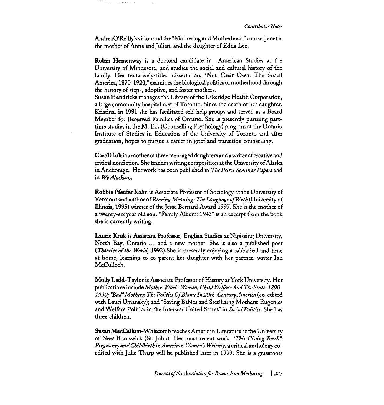AndreaO'Reilly's vision and the "Mothering and Motherhood" course. Janet is the mother of Anna and Julian, and the daughter of Edna Lee.

Robin Hemenway is a doctoral candidate in American Studies at the University of Minnesota, and studies the social and cultural history of the family. Her tentatively-titled dissertation, "Not Their Own: The Social America, 1870-1920," examines the biological politics of motherhood through the history of step-, adoptive, and foster mothers.

Susan Hendricks manages the Library of the Lakeridge Health Corporation, a large community hospital east of Toronto. Since the death of her daughter, Kristina, in 1991 she has facilitated self-help groups and served as a Board Member for Bereaved Families of Ontario. She is presently pursuing parttime studies in the M. Ed. (Counselling Psychology) program at the Ontario Institute of Studies in Education of the University of Toronto and after graduation, hopes to pursue a career in grief and transition counselling.

CarolHult is a mother of three teen-aged daughters and awriter ofcreative and critical nonfiction. She teaches writing composition at the University of Alaska in Anchorage. Her work has been published in *The Peirce Seminar Papers* and in *We Alaskans.* 

Robbie Pfeufer Kahn is Associate Professor of Sociology at the University of Vermont and author of Bearing Meaning: The Language of Birth (University of Illinois, 1995) winner of the Jesse Bernard Award 1997. She is the mother of a twenty-six year old son. "Family Album: 1943" is an excerpt from the book she is currently writing.

Laurie **Kruk** is Assistant Professor, English Studies at Nipissing University, North Bay, Ontario ... and a new mother. She is also a published poet *(Theories of the World, 1992)*. She is presently enjoying a sabbatical and time at home, learning to co-parent her daughter with her partner, writer Ian McCulloch.

Molly Ladd-Taylor is Associate Professor of History at York University. Her publications include *Mother- Work Women, Child WelfareAnd The State, 1890-*  1930; "Bad" Mothers: The Politics Of Blame In 20th-Century America (co-edited with Lauri Umansky); and "Saving Babies and Sterilizing Mothers: Eugenics and Welfare Politics in the Interwar United States" in *Social Politics.* She has three children.

Susan Maccallurn-Whitcomb teaches American Literature at the University of New Brunswick (St. John). Her most recent work, *"This Giving Birth? Pregnancy and Childbirth in American Women's Writing,* a critical anthology coedited with Julie Tharp will be published later in 1999. She is a grassroots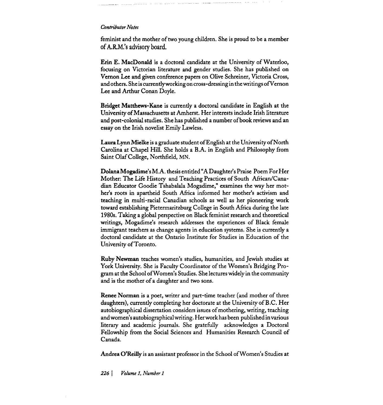feminist and the mother of two young children. She is proud to be a member of A.R.M.'s advisory board.

Erin E. MacDonald is a doctoral candidate at the University of Waterloo, focusing on Victorian literature and gender studies. She has published on Vernon Lee and given conference papers on Olive Schreiner, Victoria Cross, and others. She is currently working on cross-dressing in the writings of Vernon Lee and Arthur Conan Doyle.

Bridget Matthews-Kane is currently a doctoral candidate in English at the University of Massachusetts at Arnherst. Her interests include Irish literature and post-colonial studies. She has published a number of book reviews and an essay on the Irish novelist Emily Lawless.

Laura Lynn Mielke is a graduate student of English at the University of North Carolina at Chapel Hill. She holds a B.A. in English and Philosophy from Saint Olaf College, Northfield, MN.

Dolana Mogadime's M.A. thesis entitled "A Daughter's Praise Poem For Her Mother: The Life History and Teaching Practices of South African/Canadian Educator Goodie Tshabalala Mogadime," examines the way her mother's roots in apartheid South Africa informed her mother's activism and teaching in multi-racial Canadian schools as well as her pioneering work toward establishing Pietermaritzburg College in South Africa during the late 1980s. Taking a global perspective on Black feminist research and theoretical writings, Mogadime's research addresses the experiences of Black female immigrant teachers as change agents in education systems. She is currently a doctoral candidate at the Ontario Institute for Studies in Education of the University of Toronto.

Ruby Newman teaches women's studies, humanities, and Jewish studies at York University. She is Faculty Coordinator of the Women's Bridging Program at the School of Women's Studies. She lectures widely in the community and is the mother of a daughter and two sons.

Renee Norman is a poet, writer and part-time teacher (and mother of three daughters), currently completing her doctorate at the University of B.C. Her autobiographical dissertation considers issues of mothering, writing, teaching andwomen's autobiographical writing. Her work has been published in various literary and academic journals. She gratefully acknowledges a Doctoral Fellowship from the Social Sciences and Humanities Research Council of Canada.

Andrea O'Reilly is an assistant professor in the School of Women's Studies at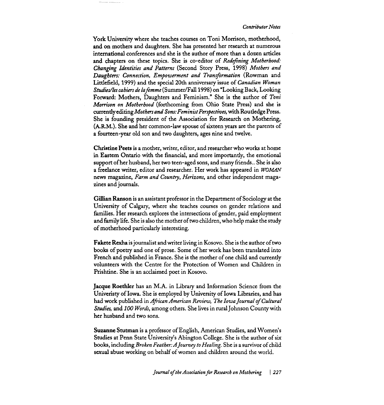York University where she teaches courses on Toni Morrison, motherhood, and on mothers and daughters. She has presented her research at numerous international conferences and she is the author of more than a dozen articles and chapters on these topics. She is co-editor of Redefining Motherhood: Changing Identities and Patterns (Second Story Press, 1998) Mothers and Daughters: Connection, Empowerment and Transformation (Rowman and Littlefield, 1999) and the special 20th anniversary issue of Canadian Woman Studies/les cahiers de la femme (Summer/Fall 1998) on "Looking Back, Looking Forward: Mothers, Daughters and Feminism." She is the author of Toni Morrison on Motherhood (forthcoming from Ohio State Press) and she is currently editing Mothers and Sons: Feminist Perspectives, with Routledge Press. She is founding president of the Association for Research on Mothering, (A.R.M.). She and her common-law spouse of sixteen years are the parents of a fourteen-year old son and two daughters, ages nine and twelve.

Christine Peets is a mother, writer, editor, and researcher who works at home in Eastem Ontario with the financial, and more importantly, the emotional support of her husband, her two teen-aged sons, and many friends.. She is also a freelance writer, editor and researcher. Her work has appeared in *WOMAN*  news magazine, Farm and Country, Herizons, and other independent magazines and journals.

Gillian Ranson is an assistant professor in the Department of Sociology at the University of Calgary, where she teaches courses on gender relations and families. Her research explores the intersections of gender, paid employment and family life. She is also the mother of two children, who help make the study of motherhood particularly interesting.

Fakete Rexha is journalist and writer living in Kosovo. She is the author of two books of poetry and one of prose. Some of her work has been translated into French and published in France. She is the mother of one child and currently volunteers with the Centre for the Protection of Women and Children in Prishtine. She is an acclaimed poet in Kosovo.

Jacque Roethler has an M.A. in Library and Information Science from the Univeristy of Iowa. She is employed by University of Iowa Libraries, and has had work published in African American Review, The Iowa Journal of Cultural Studies, and 100 Words, among others. She lives in rural Johnson County with her husband and two sons.

Suzanne Stutman is a professor of English, American Studies, and Women's Studies at Penn State University's Abington College. She is the author of six books, including Broken Feather:A Journey to Healing. She is a survivor of child sexual abuse working on behalf of women and children around the world.